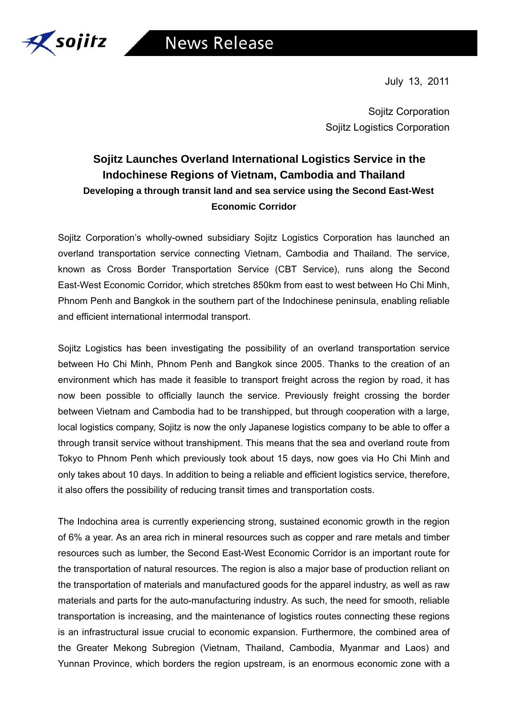

July 13, 2011

Sojitz Corporation Sojitz Logistics Corporation

## **Sojitz Launches Overland International Logistics Service in the Indochinese Regions of Vietnam, Cambodia and Thailand Developing a through transit land and sea service using the Second East-West Economic Corridor**

Sojitz Corporation's wholly-owned subsidiary Sojitz Logistics Corporation has launched an overland transportation service connecting Vietnam, Cambodia and Thailand. The service, known as Cross Border Transportation Service (CBT Service), runs along the Second East-West Economic Corridor, which stretches 850km from east to west between Ho Chi Minh, Phnom Penh and Bangkok in the southern part of the Indochinese peninsula, enabling reliable and efficient international intermodal transport.

Sojitz Logistics has been investigating the possibility of an overland transportation service between Ho Chi Minh, Phnom Penh and Bangkok since 2005. Thanks to the creation of an environment which has made it feasible to transport freight across the region by road, it has now been possible to officially launch the service. Previously freight crossing the border between Vietnam and Cambodia had to be transhipped, but through cooperation with a large, local logistics company, Sojitz is now the only Japanese logistics company to be able to offer a through transit service without transhipment. This means that the sea and overland route from Tokyo to Phnom Penh which previously took about 15 days, now goes via Ho Chi Minh and only takes about 10 days. In addition to being a reliable and efficient logistics service, therefore, it also offers the possibility of reducing transit times and transportation costs.

The Indochina area is currently experiencing strong, sustained economic growth in the region of 6% a year. As an area rich in mineral resources such as copper and rare metals and timber resources such as lumber, the Second East-West Economic Corridor is an important route for the transportation of natural resources. The region is also a major base of production reliant on the transportation of materials and manufactured goods for the apparel industry, as well as raw materials and parts for the auto-manufacturing industry. As such, the need for smooth, reliable transportation is increasing, and the maintenance of logistics routes connecting these regions is an infrastructural issue crucial to economic expansion. Furthermore, the combined area of the Greater Mekong Subregion (Vietnam, Thailand, Cambodia, Myanmar and Laos) and Yunnan Province, which borders the region upstream, is an enormous economic zone with a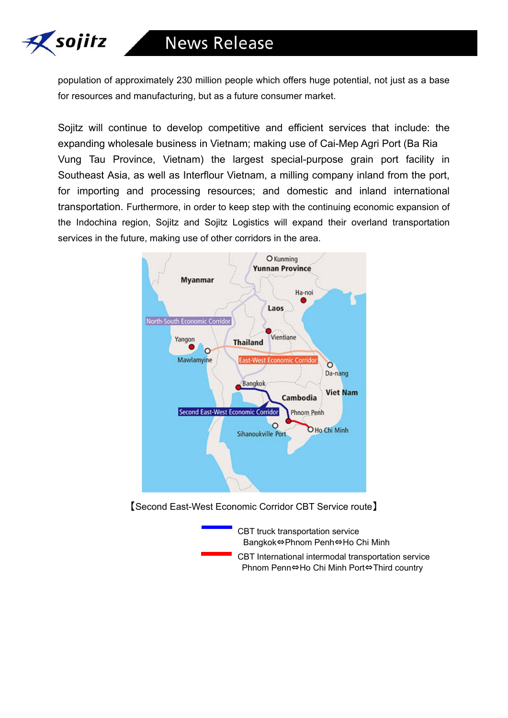

population of approximately 230 million people which offers huge potential, not just as a base for resources and manufacturing, but as a future consumer market.

Sojitz will continue to develop competitive and efficient services that include: the expanding wholesale business in Vietnam; making use of Cai-Mep Agri Port (Ba Ria Vung Tau Province, Vietnam) the largest special-purpose grain port facility in Southeast Asia, as well as Interflour Vietnam, a milling company inland from the port, for importing and processing resources; and domestic and inland international transportation. Furthermore, in order to keep step with the continuing economic expansion of the Indochina region, Sojitz and Sojitz Logistics will expand their overland transportation services in the future, making use of other corridors in the area.



【Second East-West Economic Corridor CBT Service route】

CBT truck transportation service Bangkok⇔Phnom Penh⇔Ho Chi Minh CBT International intermodal transportation service Phnom Penn⇔Ho Chi Minh Port⇔Third country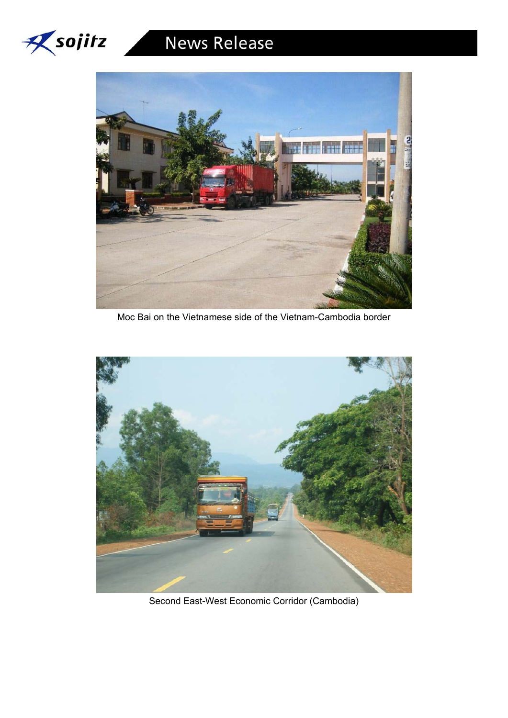



Moc Bai on the Vietnamese side of the Vietnam-Cambodia border



Second East-West Economic Corridor (Cambodia)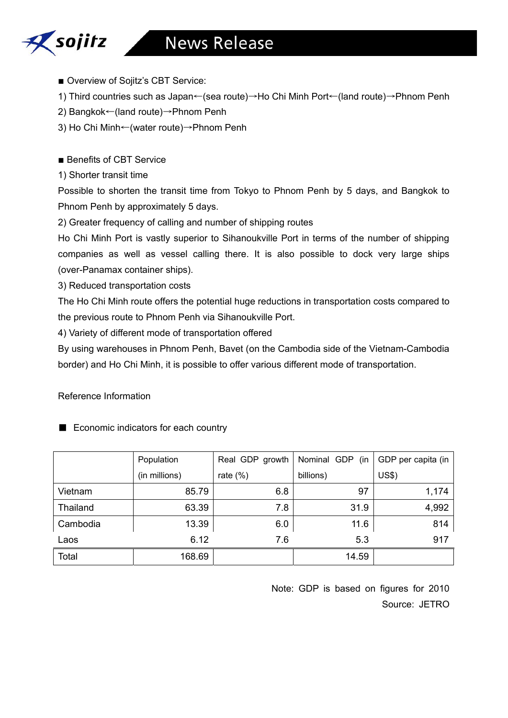# **News Release**



■ Overview of Sojitz's CBT Service:

1) Third countries such as Japan←(sea route)→Ho Chi Minh Port←(land route)→Phnom Penh

- 2) Bangkok←(land route)→Phnom Penh
- 3) Ho Chi Minh←(water route)→Phnom Penh

■ Benefits of CBT Service

1) Shorter transit time

Possible to shorten the transit time from Tokyo to Phnom Penh by 5 days, and Bangkok to Phnom Penh by approximately 5 days.

2) Greater frequency of calling and number of shipping routes

Ho Chi Minh Port is vastly superior to Sihanoukville Port in terms of the number of shipping companies as well as vessel calling there. It is also possible to dock very large ships (over-Panamax container ships).

3) Reduced transportation costs

The Ho Chi Minh route offers the potential huge reductions in transportation costs compared to the previous route to Phnom Penh via Sihanoukville Port.

4) Variety of different mode of transportation offered

By using warehouses in Phnom Penh, Bavet (on the Cambodia side of the Vietnam-Cambodia border) and Ho Chi Minh, it is possible to offer various different mode of transportation.

## Reference Information

|          | Population    | Real GDP growth | Nominal GDP (in | GDP per capita (in |
|----------|---------------|-----------------|-----------------|--------------------|
|          | (in millions) | rate $(\%)$     | billions)       | US\$)              |
| Vietnam  | 85.79         | 6.8             | 97              | 1,174              |
| Thailand | 63.39         | 7.8             | 31.9            | 4,992              |
| Cambodia | 13.39         | 6.0             | 11.6            | 814                |
| Laos     | 6.12          | 7.6             | 5.3             | 917                |
| Total    | 168.69        |                 | 14.59           |                    |

■ Economic indicators for each country

Note: GDP is based on figures for 2010 Source: JETRO